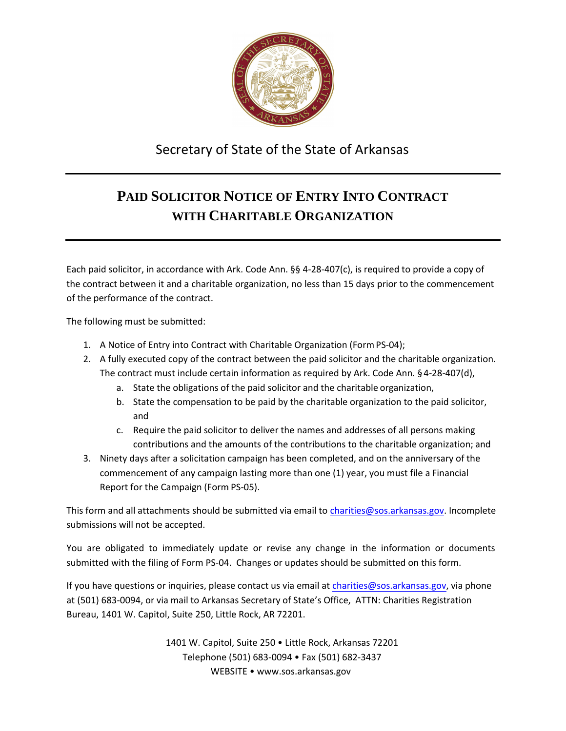

## Secretary of State of the State of Arkansas

## **PAID SOLICITOR NOTICE OF ENTRY INTO CONTRACT WITH CHARITABLE ORGANIZATION**

Each paid solicitor, in accordance with Ark. Code Ann. §§ 4-28-407(c), is required to provide a copy of the contract between it and a charitable organization, no less than 15 days prior to the commencement of the performance of the contract.

The following must be submitted:

- 1. A Notice of Entry into Contract with Charitable Organization (Form PS-04);
- 2. A fully executed copy of the contract between the paid solicitor and the charitable organization. The contract must include certain information as required by Ark. Code Ann. §4-28-407(d),
	- a. State the obligations of the paid solicitor and the charitable organization,
	- b. State the compensation to be paid by the charitable organization to the paid solicitor, and
	- c. Require the paid solicitor to deliver the names and addresses of all persons making contributions and the amounts of the contributions to the charitable organization; and
- 3. Ninety days after a solicitation campaign has been completed, and on the anniversary of the commencement of any campaign lasting more than one (1) year, you must file a Financial Report for the Campaign (Form PS-05).

This form and all attachments should be submitted via email to [charities@sos.arkansas.gov](mailto:charities@sos.arkansas.gov). Incomplete submissions will not be accepted.

You are obligated to immediately update or revise any change in the information or documents submitted with the filing of Form PS-04. Changes or updates should be submitted on this form.

If you have questions or inquiries, please contact us via email at [charities@sos.arkansas.gov](mailto:charities@sos.arkansas.gov), via phone at (501) 683-0094, or via mail to Arkansas Secretary of State's Office, ATTN: Charities Registration Bureau, 1401 W. Capitol, Suite 250, Little Rock, AR 72201.

> 1401 W. Capitol, Suite 250 • Little Rock, Arkansas 72201 Telephone (501) 683-0094 • Fax (501) 682-3437 WEBSITE • [www.sos.arkansas.gov](http://www.sos.arkansas.gov/)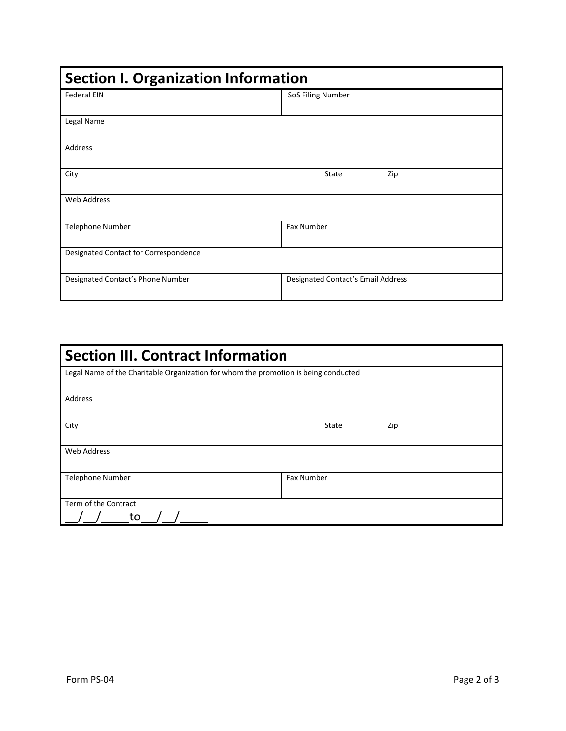| <b>Section I. Organization Information</b> |                                    |       |     |  |  |
|--------------------------------------------|------------------------------------|-------|-----|--|--|
| <b>Federal EIN</b>                         | SoS Filing Number                  |       |     |  |  |
|                                            |                                    |       |     |  |  |
| Legal Name                                 |                                    |       |     |  |  |
| Address                                    |                                    |       |     |  |  |
| City                                       |                                    | State | Zip |  |  |
| <b>Web Address</b>                         |                                    |       |     |  |  |
| <b>Telephone Number</b>                    | Fax Number                         |       |     |  |  |
| Designated Contact for Correspondence      |                                    |       |     |  |  |
| Designated Contact's Phone Number          | Designated Contact's Email Address |       |     |  |  |

| <b>Section III. Contract Information</b>                                            |                   |       |     |  |  |  |
|-------------------------------------------------------------------------------------|-------------------|-------|-----|--|--|--|
| Legal Name of the Charitable Organization for whom the promotion is being conducted |                   |       |     |  |  |  |
| Address                                                                             |                   |       |     |  |  |  |
| City                                                                                |                   | State | Zip |  |  |  |
| Web Address                                                                         |                   |       |     |  |  |  |
| <b>Telephone Number</b>                                                             | <b>Fax Number</b> |       |     |  |  |  |
| Term of the Contract<br>to                                                          |                   |       |     |  |  |  |